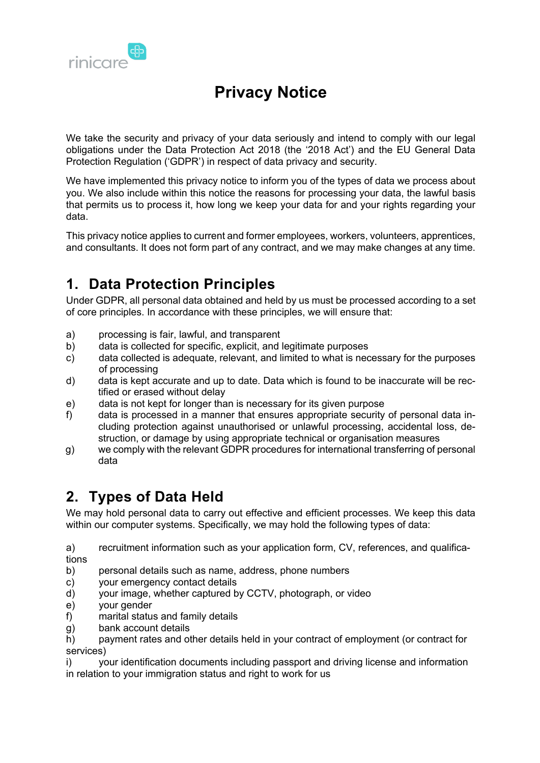

We take the security and privacy of your data seriously and intend to comply with our legal obligations under the Data Protection Act 2018 (the '2018 Act') and the EU General Data Protection Regulation ('GDPR') in respect of data privacy and security.

We have implemented this privacy notice to inform you of the types of data we process about you. We also include within this notice the reasons for processing your data, the lawful basis that permits us to process it, how long we keep your data for and your rights regarding your data.

This privacy notice applies to current and former employees, workers, volunteers, apprentices, and consultants. It does not form part of any contract, and we may make changes at any time.

# **1. Data Protection Principles**

Under GDPR, all personal data obtained and held by us must be processed according to a set of core principles. In accordance with these principles, we will ensure that:

- a) processing is fair, lawful, and transparent
- b) data is collected for specific, explicit, and legitimate purposes
- c) data collected is adequate, relevant, and limited to what is necessary for the purposes of processing
- d) data is kept accurate and up to date. Data which is found to be inaccurate will be rectified or erased without delay
- e) data is not kept for longer than is necessary for its given purpose
- f) data is processed in a manner that ensures appropriate security of personal data including protection against unauthorised or unlawful processing, accidental loss, destruction, or damage by using appropriate technical or organisation measures
- g) we comply with the relevant GDPR procedures for international transferring of personal data

## **2. Types of Data Held**

We may hold personal data to carry out effective and efficient processes. We keep this data within our computer systems. Specifically, we may hold the following types of data:

a) recruitment information such as your application form, CV, references, and qualifications

- b) personal details such as name, address, phone numbers
- c) your emergency contact details
- d) your image, whether captured by CCTV, photograph, or video
- e) your gender
- f) marital status and family details
- g) bank account details

h) payment rates and other details held in your contract of employment (or contract for services)

i) your identification documents including passport and driving license and information in relation to your immigration status and right to work for us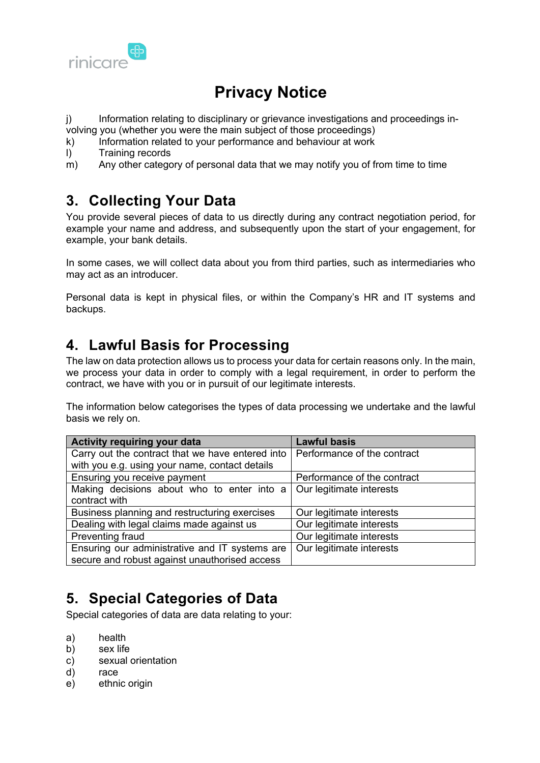

j) Information relating to disciplinary or grievance investigations and proceedings involving you (whether you were the main subject of those proceedings)

- k) Information related to your performance and behaviour at work
- l) Training records
- $\mathbf{m}$ ) Any other category of personal data that we may notify you of from time to time

#### **3. Collecting Your Data**

You provide several pieces of data to us directly during any contract negotiation period, for example your name and address, and subsequently upon the start of your engagement, for example, your bank details.

In some cases, we will collect data about you from third parties, such as intermediaries who may act as an introducer.

Personal data is kept in physical files, or within the Company's HR and IT systems and backups.

#### **4. Lawful Basis for Processing**

The law on data protection allows us to process your data for certain reasons only. In the main, we process your data in order to comply with a legal requirement, in order to perform the contract, we have with you or in pursuit of our legitimate interests.

The information below categorises the types of data processing we undertake and the lawful basis we rely on.

| <b>Activity requiring your data</b>                                   | <b>Lawful basis</b>         |
|-----------------------------------------------------------------------|-----------------------------|
| Carry out the contract that we have entered into                      | Performance of the contract |
| with you e.g. using your name, contact details                        |                             |
| Ensuring you receive payment                                          | Performance of the contract |
| Making decisions about who to enter into a   Our legitimate interests |                             |
| contract with                                                         |                             |
| Business planning and restructuring exercises                         | Our legitimate interests    |
| Dealing with legal claims made against us                             | Our legitimate interests    |
| Preventing fraud                                                      | Our legitimate interests    |
| Ensuring our administrative and IT systems are                        | Our legitimate interests    |
| secure and robust against unauthorised access                         |                             |

### **5. Special Categories of Data**

Special categories of data are data relating to your:

- a) health
- b) sex life
- c) sexual orientation
- d) race
- e) ethnic origin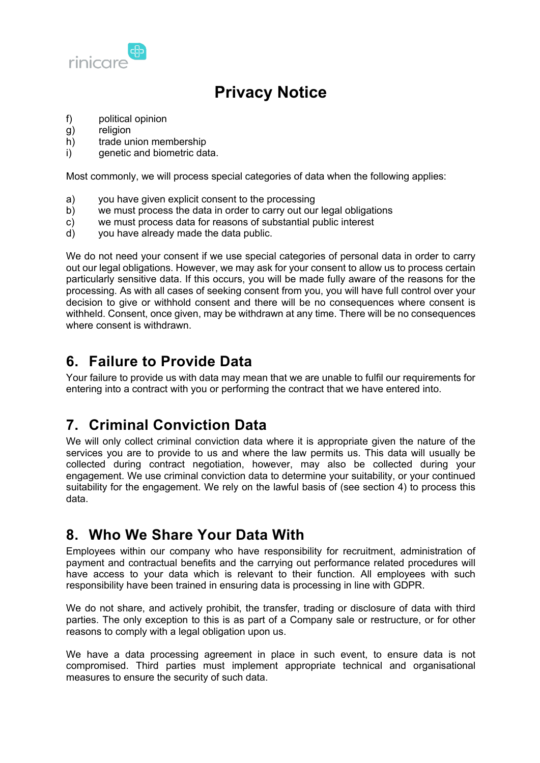

- f) political opinion
- g) religion
- h) trade union membership
- i) genetic and biometric data.

Most commonly, we will process special categories of data when the following applies:

- a) you have given explicit consent to the processing
- b) we must process the data in order to carry out our legal obligations
- c) we must process data for reasons of substantial public interest
- d) you have already made the data public.

We do not need your consent if we use special categories of personal data in order to carry out our legal obligations. However, we may ask for your consent to allow us to process certain particularly sensitive data. If this occurs, you will be made fully aware of the reasons for the processing. As with all cases of seeking consent from you, you will have full control over your decision to give or withhold consent and there will be no consequences where consent is withheld. Consent, once given, may be withdrawn at any time. There will be no consequences where consent is withdrawn.

### **6. Failure to Provide Data**

Your failure to provide us with data may mean that we are unable to fulfil our requirements for entering into a contract with you or performing the contract that we have entered into.

### **7. Criminal Conviction Data**

We will only collect criminal conviction data where it is appropriate given the nature of the services you are to provide to us and where the law permits us. This data will usually be collected during contract negotiation, however, may also be collected during your engagement. We use criminal conviction data to determine your suitability, or your continued suitability for the engagement. We rely on the lawful basis of (see section 4) to process this data.

### **8. Who We Share Your Data With**

Employees within our company who have responsibility for recruitment, administration of payment and contractual benefits and the carrying out performance related procedures will have access to your data which is relevant to their function. All employees with such responsibility have been trained in ensuring data is processing in line with GDPR.

We do not share, and actively prohibit, the transfer, trading or disclosure of data with third parties. The only exception to this is as part of a Company sale or restructure, or for other reasons to comply with a legal obligation upon us.

We have a data processing agreement in place in such event, to ensure data is not compromised. Third parties must implement appropriate technical and organisational measures to ensure the security of such data.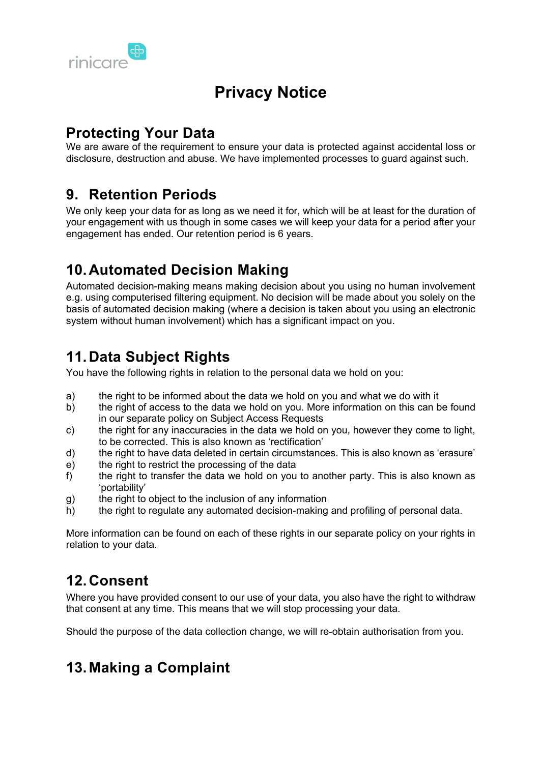

### **Protecting Your Data**

We are aware of the requirement to ensure your data is protected against accidental loss or disclosure, destruction and abuse. We have implemented processes to guard against such.

#### **9. Retention Periods**

We only keep your data for as long as we need it for, which will be at least for the duration of your engagement with us though in some cases we will keep your data for a period after your engagement has ended. Our retention period is 6 years.

### **10. Automated Decision Making**

Automated decision-making means making decision about you using no human involvement e.g. using computerised filtering equipment. No decision will be made about you solely on the basis of automated decision making (where a decision is taken about you using an electronic system without human involvement) which has a significant impact on you.

## **11. Data Subject Rights**

You have the following rights in relation to the personal data we hold on you:

- a) the right to be informed about the data we hold on you and what we do with it
- b) the right of access to the data we hold on you. More information on this can be found in our separate policy on Subject Access Requests
- c) the right for any inaccuracies in the data we hold on you, however they come to light, to be corrected. This is also known as 'rectification'
- d) the right to have data deleted in certain circumstances. This is also known as 'erasure'
- e) the right to restrict the processing of the data
- f) the right to transfer the data we hold on you to another party. This is also known as 'portability'
- g) the right to object to the inclusion of any information
- h) the right to regulate any automated decision-making and profiling of personal data.

More information can be found on each of these rights in our separate policy on your rights in relation to your data.

## **12. Consent**

Where you have provided consent to our use of your data, you also have the right to withdraw that consent at any time. This means that we will stop processing your data.

Should the purpose of the data collection change, we will re-obtain authorisation from you.

## **13. Making a Complaint**